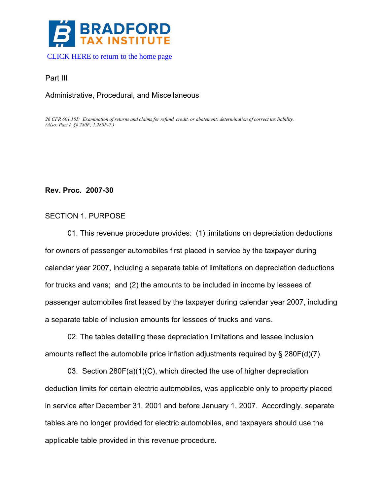

#### [CLICK HERE to return to the](http://www.bradfordtaxinstitute.com/) home page

#### Part III

## Administrative, Procedural, and Miscellaneous

*26 CFR 601.105: Examination of returns and claims for refund, credit, or abatement; determination of correct tax liability. (Also: Part I, §§ 280F; 1.280F-7.)* 

### **Rev. Proc. 2007-30**

### SECTION 1. PURPOSE

01. This revenue procedure provides: (1) limitations on depreciation deductions for owners of passenger automobiles first placed in service by the taxpayer during calendar year 2007, including a separate table of limitations on depreciation deductions for trucks and vans; and (2) the amounts to be included in income by lessees of passenger automobiles first leased by the taxpayer during calendar year 2007, including a separate table of inclusion amounts for lessees of trucks and vans.

02. The tables detailing these depreciation limitations and lessee inclusion amounts reflect the automobile price inflation adjustments required by § 280F(d)(7).

03. Section 280F(a)(1)(C), which directed the use of higher depreciation deduction limits for certain electric automobiles, was applicable only to property placed in service after December 31, 2001 and before January 1, 2007. Accordingly, separate tables are no longer provided for electric automobiles, and taxpayers should use the applicable table provided in this revenue procedure.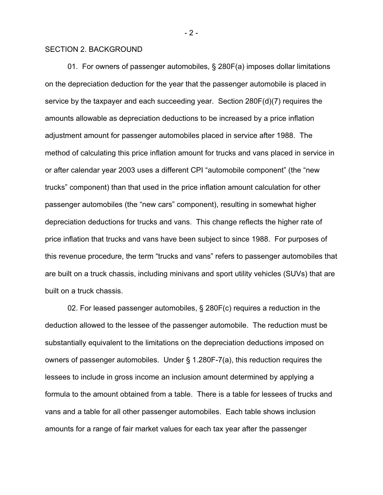### SECTION 2. BACKGROUND

 01. For owners of passenger automobiles, § 280F(a) imposes dollar limitations on the depreciation deduction for the year that the passenger automobile is placed in service by the taxpayer and each succeeding year. Section 280F(d)(7) requires the amounts allowable as depreciation deductions to be increased by a price inflation adjustment amount for passenger automobiles placed in service after 1988. The method of calculating this price inflation amount for trucks and vans placed in service in or after calendar year 2003 uses a different CPI "automobile component" (the "new trucks" component) than that used in the price inflation amount calculation for other passenger automobiles (the "new cars" component), resulting in somewhat higher depreciation deductions for trucks and vans. This change reflects the higher rate of price inflation that trucks and vans have been subject to since 1988. For purposes of this revenue procedure, the term "trucks and vans" refers to passenger automobiles that are built on a truck chassis, including minivans and sport utility vehicles (SUVs) that are built on a truck chassis.

 02. For leased passenger automobiles, § 280F(c) requires a reduction in the deduction allowed to the lessee of the passenger automobile. The reduction must be substantially equivalent to the limitations on the depreciation deductions imposed on owners of passenger automobiles. Under § 1.280F-7(a), this reduction requires the lessees to include in gross income an inclusion amount determined by applying a formula to the amount obtained from a table. There is a table for lessees of trucks and vans and a table for all other passenger automobiles. Each table shows inclusion amounts for a range of fair market values for each tax year after the passenger

 $-2-$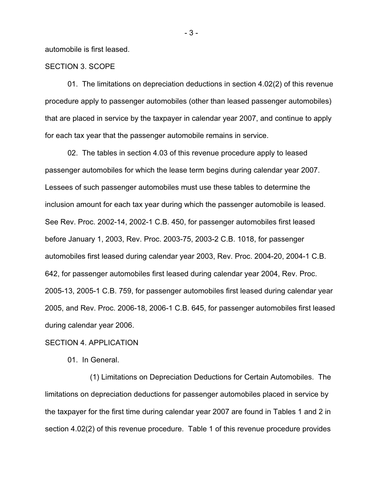automobile is first leased.

### SECTION 3. SCOPE

01. The limitations on depreciation deductions in section 4.02(2) of this revenue procedure apply to passenger automobiles (other than leased passenger automobiles) that are placed in service by the taxpayer in calendar year 2007, and continue to apply for each tax year that the passenger automobile remains in service.

 02. The tables in section 4.03 of this revenue procedure apply to leased passenger automobiles for which the lease term begins during calendar year 2007. Lessees of such passenger automobiles must use these tables to determine the inclusion amount for each tax year during which the passenger automobile is leased. See Rev. Proc. 2002-14, 2002-1 C.B. 450, for passenger automobiles first leased before January 1, 2003, Rev. Proc. 2003-75, 2003-2 C.B. 1018, for passenger automobiles first leased during calendar year 2003, Rev. Proc. 2004-20, 2004-1 C.B. 642, for passenger automobiles first leased during calendar year 2004, Rev. Proc. 2005-13, 2005-1 C.B. 759, for passenger automobiles first leased during calendar year 2005, and Rev. Proc. 2006-18, 2006-1 C.B. 645, for passenger automobiles first leased during calendar year 2006.

#### SECTION 4. APPLICATION

01. In General.

 (1) Limitations on Depreciation Deductions for Certain Automobiles. The limitations on depreciation deductions for passenger automobiles placed in service by the taxpayer for the first time during calendar year 2007 are found in Tables 1 and 2 in section 4.02(2) of this revenue procedure. Table 1 of this revenue procedure provides

- 3 -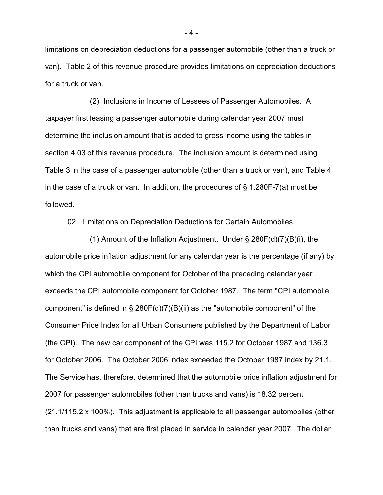limitations on depreciation deductions for a passenger automobile (other than a truck or van). Table 2 of this revenue procedure provides limitations on depreciation deductions for a truck or van.

 (2) Inclusions in Income of Lessees of Passenger Automobiles. A taxpayer first leasing a passenger automobile during calendar year 2007 must determine the inclusion amount that is added to gross income using the tables in section 4.03 of this revenue procedure. The inclusion amount is determined using Table 3 in the case of a passenger automobile (other than a truck or van), and Table 4 in the case of a truck or van. In addition, the procedures of  $\S$  1.280F-7(a) must be followed.

02. Limitations on Depreciation Deductions for Certain Automobiles.

 (1) Amount of the Inflation Adjustment. Under § 280F(d)(7)(B)(i), the automobile price inflation adjustment for any calendar year is the percentage (if any) by which the CPI automobile component for October of the preceding calendar year exceeds the CPI automobile component for October 1987. The term "CPI automobile component" is defined in § 280F(d)(7)(B)(ii) as the "automobile component" of the Consumer Price Index for all Urban Consumers published by the Department of Labor (the CPI). The new car component of the CPI was 115.2 for October 1987 and 136.3 for October 2006. The October 2006 index exceeded the October 1987 index by 21.1. The Service has, therefore, determined that the automobile price inflation adjustment for 2007 for passenger automobiles (other than trucks and vans) is 18.32 percent (21.1/115.2 x 100%). This adjustment is applicable to all passenger automobiles (other than trucks and vans) that are first placed in service in calendar year 2007. The dollar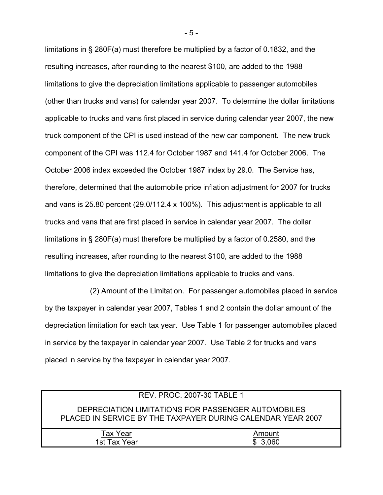limitations in § 280F(a) must therefore be multiplied by a factor of 0.1832, and the resulting increases, after rounding to the nearest \$100, are added to the 1988 limitations to give the depreciation limitations applicable to passenger automobiles (other than trucks and vans) for calendar year 2007. To determine the dollar limitations applicable to trucks and vans first placed in service during calendar year 2007, the new truck component of the CPI is used instead of the new car component. The new truck component of the CPI was 112.4 for October 1987 and 141.4 for October 2006. The October 2006 index exceeded the October 1987 index by 29.0. The Service has, therefore, determined that the automobile price inflation adjustment for 2007 for trucks and vans is 25.80 percent (29.0/112.4 x 100%). This adjustment is applicable to all trucks and vans that are first placed in service in calendar year 2007. The dollar limitations in § 280F(a) must therefore be multiplied by a factor of 0.2580, and the resulting increases, after rounding to the nearest \$100, are added to the 1988 limitations to give the depreciation limitations applicable to trucks and vans.

 (2) Amount of the Limitation. For passenger automobiles placed in service by the taxpayer in calendar year 2007, Tables 1 and 2 contain the dollar amount of the depreciation limitation for each tax year. Use Table 1 for passenger automobiles placed in service by the taxpayer in calendar year 2007. Use Table 2 for trucks and vans placed in service by the taxpayer in calendar year 2007.

|                 | <b>REV. PROC. 2007-30 TABLE 1</b>                                                                                 |
|-----------------|-------------------------------------------------------------------------------------------------------------------|
|                 | DEPRECIATION LIMITATIONS FOR PASSENGER AUTOMOBILES<br>PLACED IN SERVICE BY THE TAXPAYER DURING CALENDAR YEAR 2007 |
| <b>Tax Year</b> | Amount                                                                                                            |
| 1st Tax Year    | \$ 3.060                                                                                                          |

- 5 -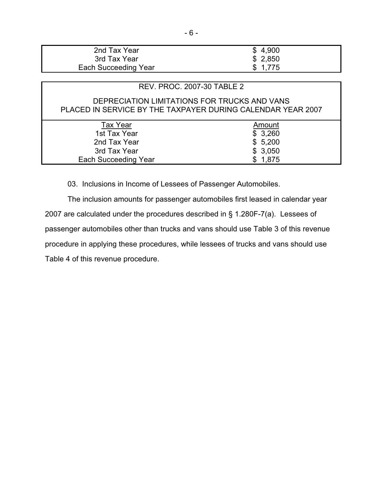| 2nd Tax Year                | \$4,900 |
|-----------------------------|---------|
| 3rd Tax Year                | \$2,850 |
| <b>Each Succeeding Year</b> | \$1,775 |

# REV. PROC. 2007-30 TABLE 2

# DEPRECIATION LIMITATIONS FOR TRUCKS AND VANS PLACED IN SERVICE BY THE TAXPAYER DURING CALENDAR YEAR 2007

| Amount  |
|---------|
| \$3,260 |
| \$5,200 |
| \$3,050 |
| \$1,875 |
|         |

03. Inclusions in Income of Lessees of Passenger Automobiles.

 The inclusion amounts for passenger automobiles first leased in calendar year 2007 are calculated under the procedures described in § 1.280F-7(a). Lessees of passenger automobiles other than trucks and vans should use Table 3 of this revenue procedure in applying these procedures, while lessees of trucks and vans should use Table 4 of this revenue procedure.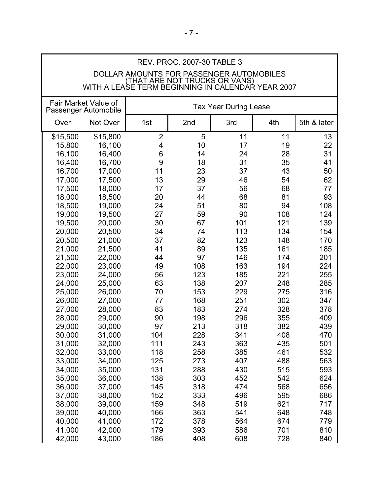| <b>REV. PROC. 2007-30 TABLE 3</b>                                                  |                      |                |     |                              |     |             |
|------------------------------------------------------------------------------------|----------------------|----------------|-----|------------------------------|-----|-------------|
| DOLLAR AMOUNTS FOR PASSENGER AUTOMOBILES                                           |                      |                |     |                              |     |             |
| (THAT ARE NOT TRUCKS OR VANS)<br>WITH A LEASE TERM BEGINNING IN CALENDAR YEAR 2007 |                      |                |     |                              |     |             |
|                                                                                    |                      |                |     |                              |     |             |
|                                                                                    | Fair Market Value of |                |     | <b>Tax Year During Lease</b> |     |             |
|                                                                                    | Passenger Automobile |                |     |                              |     |             |
| Over                                                                               | Not Over             | 1st            | 2nd | 3rd                          | 4th | 5th & later |
| \$15,500                                                                           | \$15,800             | $\overline{2}$ | 5   | 11                           | 11  | 13          |
| 15,800                                                                             | 16,100               | 4              | 10  | 17                           | 19  | 22          |
| 16,100                                                                             | 16,400               | 6              | 14  | 24                           | 28  | 31          |
| 16,400                                                                             | 16,700               | 9              | 18  | 31                           | 35  | 41          |
| 16,700                                                                             | 17,000               | 11             | 23  | 37                           | 43  | 50          |
| 17,000                                                                             | 17,500               | 13             | 29  | 46                           | 54  | 62          |
| 17,500                                                                             | 18,000               | 17             | 37  | 56                           | 68  | 77          |
| 18,000                                                                             | 18,500               | 20             | 44  | 68                           | 81  | 93          |
| 18,500                                                                             | 19,000               | 24             | 51  | 80                           | 94  | 108         |
| 19,000                                                                             | 19,500               | 27             | 59  | 90                           | 108 | 124         |
| 19,500                                                                             | 20,000               | 30             | 67  | 101                          | 121 | 139         |
| 20,000                                                                             | 20,500               | 34             | 74  | 113                          | 134 | 154         |
| 20,500                                                                             | 21,000               | 37             | 82  | 123                          | 148 | 170         |
| 21,000                                                                             | 21,500               | 41             | 89  | 135                          | 161 | 185         |
| 21,500                                                                             | 22,000               | 44             | 97  | 146                          | 174 | 201         |
| 22,000                                                                             | 23,000               | 49             | 108 | 163                          | 194 | 224         |
| 23,000                                                                             | 24,000               | 56             | 123 | 185                          | 221 | 255         |
| 24,000                                                                             | 25,000               | 63             | 138 | 207                          | 248 | 285         |
| 25,000                                                                             | 26,000               | 70             | 153 | 229                          | 275 | 316         |
| 26,000                                                                             | 27,000               | 77             | 168 | 251                          | 302 | 347         |
| 27,000                                                                             | 28,000               | 83             | 183 | 274                          | 328 | 378         |
| 28,000                                                                             | 29,000               | 90             | 198 | 296                          | 355 | 409         |
| 29,000                                                                             | 30,000               | 97             | 213 | 318                          | 382 | 439         |
| 30,000                                                                             | 31,000               | 104            | 228 | 341                          | 408 | 470         |
| 31,000                                                                             | 32,000               | 111            | 243 | 363                          | 435 | 501         |
| 32,000                                                                             | 33,000               | 118            | 258 | 385                          | 461 | 532         |
| 33,000                                                                             | 34,000               | 125            | 273 | 407                          | 488 | 563         |
| 34,000                                                                             | 35,000               | 131            | 288 | 430                          | 515 | 593         |
| 35,000                                                                             | 36,000               | 138            | 303 | 452                          | 542 | 624         |
| 36,000                                                                             | 37,000               | 145            | 318 | 474                          | 568 | 656         |
| 37,000                                                                             | 38,000               | 152            | 333 | 496                          | 595 | 686         |
| 38,000                                                                             | 39,000               | 159            | 348 | 519                          | 621 | 717         |
| 39,000                                                                             | 40,000               | 166            | 363 | 541                          | 648 | 748         |
| 40,000                                                                             | 41,000               | 172            | 378 | 564                          | 674 | 779         |
| 41,000                                                                             | 42,000               | 179            | 393 | 586                          | 701 | 810         |
| 42,000                                                                             | 43,000               | 186            | 408 | 608                          | 728 | 840         |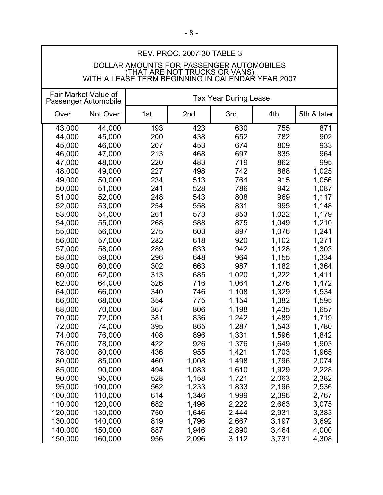| <b>REV. PROC. 2007-30 TABLE 3</b>                                                         |                                              |     |       |                              |       |             |  |
|-------------------------------------------------------------------------------------------|----------------------------------------------|-----|-------|------------------------------|-------|-------------|--|
|                                                                                           | DOLLAR AMOUNTS FOR PASSENGER AUTOMOBILES     |     |       |                              |       |             |  |
| <u>(THAT ARE NOT TRUCKS OR VANS)</u><br>WITH A LEASE TERM BEGINNING IN CALENDAR YEAR 2007 |                                              |     |       |                              |       |             |  |
|                                                                                           |                                              |     |       |                              |       |             |  |
|                                                                                           | Fair Market Value of<br>Passenger Automobile |     |       | <b>Tax Year During Lease</b> |       |             |  |
|                                                                                           |                                              |     |       |                              |       |             |  |
| Over                                                                                      | Not Over                                     | 1st | 2nd   | 3rd                          | 4th   | 5th & later |  |
| 43,000                                                                                    | 44,000                                       | 193 | 423   | 630                          | 755   | 871         |  |
| 44,000                                                                                    | 45,000                                       | 200 | 438   | 652                          | 782   | 902         |  |
| 45,000                                                                                    | 46,000                                       | 207 | 453   | 674                          | 809   | 933         |  |
| 46,000                                                                                    | 47,000                                       | 213 | 468   | 697                          | 835   | 964         |  |
| 47,000                                                                                    | 48,000                                       | 220 | 483   | 719                          | 862   | 995         |  |
| 48,000                                                                                    | 49,000                                       | 227 | 498   | 742                          | 888   | 1,025       |  |
| 49,000                                                                                    | 50,000                                       | 234 | 513   | 764                          | 915   | 1,056       |  |
| 50,000                                                                                    | 51,000                                       | 241 | 528   | 786                          | 942   | 1,087       |  |
| 51,000                                                                                    | 52,000                                       | 248 | 543   | 808                          | 969   | 1,117       |  |
| 52,000                                                                                    | 53,000                                       | 254 | 558   | 831                          | 995   | 1,148       |  |
| 53,000                                                                                    | 54,000                                       | 261 | 573   | 853                          | 1,022 | 1,179       |  |
| 54,000                                                                                    | 55,000                                       | 268 | 588   | 875                          | 1,049 | 1,210       |  |
| 55,000                                                                                    | 56,000                                       | 275 | 603   | 897                          | 1,076 | 1,241       |  |
| 56,000                                                                                    | 57,000                                       | 282 | 618   | 920                          | 1,102 | 1,271       |  |
| 57,000                                                                                    | 58,000                                       | 289 | 633   | 942                          | 1,128 | 1,303       |  |
| 58,000                                                                                    | 59,000                                       | 296 | 648   | 964                          | 1,155 | 1,334       |  |
| 59,000                                                                                    | 60,000                                       | 302 | 663   | 987                          | 1,182 | 1,364       |  |
| 60,000                                                                                    | 62,000                                       | 313 | 685   | 1,020                        | 1,222 | 1,411       |  |
| 62,000                                                                                    | 64,000                                       | 326 | 716   | 1,064                        | 1,276 | 1,472       |  |
| 64,000                                                                                    | 66,000                                       | 340 | 746   | 1,108                        | 1,329 | 1,534       |  |
| 66,000                                                                                    | 68,000                                       | 354 | 775   | 1,154                        | 1,382 | 1,595       |  |
| 68,000                                                                                    | 70,000                                       | 367 | 806   | 1,198                        | 1,435 | 1,657       |  |
| 70,000                                                                                    | 72,000                                       | 381 | 836   | 1,242                        | 1,489 | 1,719       |  |
| 72,000                                                                                    | 74,000                                       | 395 | 865   | 1,287                        | 1,543 | 1,780       |  |
| 74,000                                                                                    | 76,000                                       | 408 | 896   | 1,331                        | 1,596 | 1,842       |  |
| 76,000                                                                                    | 78,000                                       | 422 | 926   | 1,376                        | 1,649 | 1,903       |  |
| 78,000                                                                                    | 80,000                                       | 436 | 955   | 1,421                        | 1,703 | 1,965       |  |
| 80,000                                                                                    | 85,000                                       | 460 | 1,008 | 1,498                        | 1,796 | 2,074       |  |
| 85,000                                                                                    | 90,000                                       | 494 | 1,083 | 1,610                        | 1,929 | 2,228       |  |
| 90,000                                                                                    | 95,000                                       | 528 | 1,158 | 1,721                        | 2,063 | 2,382       |  |
| 95,000                                                                                    | 100,000                                      | 562 | 1,233 | 1,833                        | 2,196 | 2,536       |  |
| 100,000                                                                                   | 110,000                                      | 614 | 1,346 | 1,999                        | 2,396 | 2,767       |  |
| 110,000                                                                                   | 120,000                                      | 682 | 1,496 | 2,222                        | 2,663 | 3,075       |  |
| 120,000                                                                                   | 130,000                                      | 750 | 1,646 | 2,444                        | 2,931 | 3,383       |  |
| 130,000                                                                                   | 140,000                                      | 819 | 1,796 | 2,667                        | 3,197 | 3,692       |  |
| 140,000                                                                                   | 150,000                                      | 887 | 1,946 | 2,890                        | 3,464 | 4,000       |  |
| 150,000                                                                                   | 160,000                                      | 956 | 2,096 | 3,112                        | 3,731 | 4,308       |  |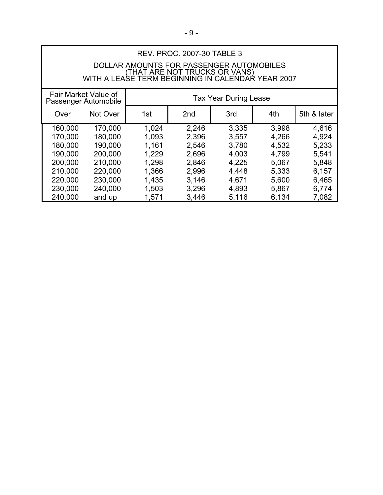| <b>REV. PROC. 2007-30 TABLE 3</b> |                                              |                                                                                    |                 |                              |       |             |  |
|-----------------------------------|----------------------------------------------|------------------------------------------------------------------------------------|-----------------|------------------------------|-------|-------------|--|
|                                   | DOLLAR AMOUNTS FOR PASSENGER AUTOMOBILES     |                                                                                    |                 |                              |       |             |  |
|                                   |                                              | (THAT ARE NOT TRUCKS OR VANS)<br>WITH A LEASE TERM BEGINNING IN CALENDAR YEAR 2007 |                 |                              |       |             |  |
|                                   |                                              |                                                                                    |                 |                              |       |             |  |
|                                   | Fair Market Value of<br>Passenger Automobile |                                                                                    |                 | <b>Tax Year During Lease</b> |       |             |  |
| Over                              | Not Over                                     | 1st                                                                                | 2 <sub>nd</sub> | 3rd                          | 4th   | 5th & later |  |
| 160,000                           | 170,000                                      | 1,024                                                                              | 2,246           | 3,335                        | 3,998 | 4,616       |  |
| 170,000                           | 180,000                                      | 1,093                                                                              | 2,396           | 3,557                        | 4,266 | 4,924       |  |
| 180,000                           | 190,000                                      | 1,161                                                                              | 2,546           | 3,780                        | 4,532 | 5,233       |  |
| 190,000                           | 200,000                                      | 1,229                                                                              | 2,696           | 4,003                        | 4,799 | 5,541       |  |
| 200,000                           | 210,000                                      | 1,298                                                                              | 2,846           | 4,225                        | 5,067 | 5,848       |  |
| 210,000                           | 220,000                                      | 1,366                                                                              | 2,996           | 4,448                        | 5,333 | 6,157       |  |
| 220,000                           | 230,000                                      | 1,435                                                                              | 3,146           | 4,671                        | 5,600 | 6,465       |  |
| 230,000                           | 240,000                                      | 1,503                                                                              | 3,296           | 4,893                        | 5,867 | 6,774       |  |
| 240,000                           | and up                                       | 1,571                                                                              | 3,446           | 5,116                        | 6,134 | 7,082       |  |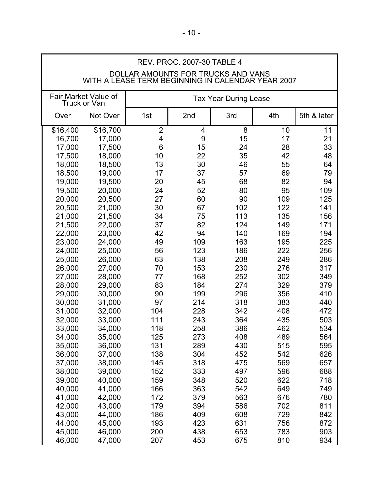| <b>REV. PROC. 2007-30 TABLE 4</b> |                                                                                         |                 |                |                              |     |             |
|-----------------------------------|-----------------------------------------------------------------------------------------|-----------------|----------------|------------------------------|-----|-------------|
|                                   | DOLLAR AMOUNTS FOR TRUCKS AND VANS<br>WITH A LEASE TERM BEGINNING IN CALENDAR YEAR 2007 |                 |                |                              |     |             |
|                                   | Fair Market Value of<br>Truck or Van                                                    |                 |                | <b>Tax Year During Lease</b> |     |             |
| Over                              | Not Over                                                                                | 1st             | 2nd            | 3rd                          | 4th | 5th & later |
| \$16,400                          | \$16,700                                                                                | $\overline{2}$  | $\overline{4}$ | 8                            | 10  | 11          |
| 16,700                            | 17,000                                                                                  | 4               | 9              | 15                           | 17  | 21          |
| 17,000                            | 17,500                                                                                  | $6\phantom{1}6$ | 15             | 24                           | 28  | 33          |
| 17,500                            | 18,000                                                                                  | 10              | 22             | 35                           | 42  | 48          |
| 18,000                            | 18,500                                                                                  | 13              | 30             | 46                           | 55  | 64          |
| 18,500                            | 19,000                                                                                  | 17              | 37             | 57                           | 69  | 79          |
| 19,000                            | 19,500                                                                                  | 20              | 45             | 68                           | 82  | 94          |
| 19,500                            | 20,000                                                                                  | 24              | 52             | 80                           | 95  | 109         |
| 20,000                            | 20,500                                                                                  | 27              | 60             | 90                           | 109 | 125         |
| 20,500                            | 21,000                                                                                  | 30              | 67             | 102                          | 122 | 141         |
| 21,000                            | 21,500                                                                                  | 34              | 75             | 113                          | 135 | 156         |
| 21,500                            | 22,000                                                                                  | 37              | 82             | 124                          | 149 | 171         |
| 22,000                            | 23,000                                                                                  | 42              | 94             | 140                          | 169 | 194         |
| 23,000                            | 24,000                                                                                  | 49              | 109            | 163                          | 195 | 225         |
| 24,000                            | 25,000                                                                                  | 56              | 123            | 186                          | 222 | 256         |
| 25,000                            | 26,000                                                                                  | 63              | 138            | 208                          | 249 | 286         |
| 26,000                            | 27,000                                                                                  | 70              | 153            | 230                          | 276 | 317         |
| 27,000                            | 28,000                                                                                  | 77              | 168            | 252                          | 302 | 349         |
| 28,000                            | 29,000                                                                                  | 83              | 184            | 274                          | 329 | 379         |
| 29,000                            | 30,000                                                                                  | 90              | 199            | 296                          | 356 | 410         |
| 30,000                            | 31,000                                                                                  | 97              | 214            | 318                          | 383 | 440         |
| 31,000                            | 32,000                                                                                  | 104             | 228            | 342                          | 408 | 472         |
| 32,000                            | 33,000                                                                                  | 111             | 243            | 364                          | 435 | 503         |
| 33,000                            | 34,000                                                                                  | 118             | 258            | 386                          | 462 | 534         |
| 34,000                            | 35,000                                                                                  | 125             | 273            | 408                          | 489 | 564         |
| 35,000                            | 36,000                                                                                  | 131             | 289            | 430                          | 515 | 595         |
| 36,000                            | 37,000                                                                                  | 138             | 304            | 452                          | 542 | 626         |
| 37,000                            | 38,000                                                                                  | 145             | 318            | 475                          | 569 | 657         |
| 38,000                            | 39,000                                                                                  | 152             | 333            | 497                          | 596 | 688         |
| 39,000                            | 40,000                                                                                  | 159             | 348            | 520                          | 622 | 718         |
| 40,000                            | 41,000                                                                                  | 166             | 363            | 542                          | 649 | 749         |
| 41,000                            | 42,000                                                                                  | 172             | 379            | 563                          | 676 | 780         |
| 42,000                            | 43,000                                                                                  | 179             | 394            | 586                          | 702 | 811         |
| 43,000                            | 44,000                                                                                  | 186             | 409            | 608                          | 729 | 842         |
| 44,000                            | 45,000                                                                                  | 193             | 423            | 631                          | 756 | 872         |
| 45,000                            | 46,000                                                                                  | 200             | 438            | 653                          | 783 | 903         |
| 46,000                            | 47,000                                                                                  | 207             | 453            | 675                          | 810 | 934         |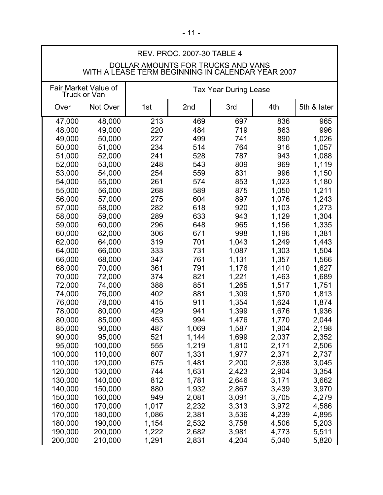| REV. PROC. 2007-30 TABLE 4                                                                                                                          |                                                                                                                                                      |                                                                                                          |                                                                                                                            |                                                                                                                            |                                                                                                                            |                                                                                                                            |
|-----------------------------------------------------------------------------------------------------------------------------------------------------|------------------------------------------------------------------------------------------------------------------------------------------------------|----------------------------------------------------------------------------------------------------------|----------------------------------------------------------------------------------------------------------------------------|----------------------------------------------------------------------------------------------------------------------------|----------------------------------------------------------------------------------------------------------------------------|----------------------------------------------------------------------------------------------------------------------------|
| DOLLAR AMOUNTS FOR TRUCKS AND VANS<br>WITH A LEASE TERM BEGINNING IN CALENDAR YEAR 2007                                                             |                                                                                                                                                      |                                                                                                          |                                                                                                                            |                                                                                                                            |                                                                                                                            |                                                                                                                            |
|                                                                                                                                                     | Fair Market Value of<br>Truck or Van                                                                                                                 |                                                                                                          |                                                                                                                            | <b>Tax Year During Lease</b>                                                                                               |                                                                                                                            |                                                                                                                            |
| Over                                                                                                                                                | Not Over                                                                                                                                             | 1st                                                                                                      | 2nd                                                                                                                        | 3rd                                                                                                                        | 4th                                                                                                                        | 5th & later                                                                                                                |
| 48,000<br>49,000<br>50,000<br>51,000<br>52,000<br>53,000<br>54,000<br>55,000<br>56,000<br>57,000<br>58,000                                          | 49,000<br>50,000<br>51,000<br>52,000<br>53,000<br>54,000<br>55,000<br>56,000<br>57,000<br>58,000<br>59,000                                           | 220<br>227<br>234<br>241<br>248<br>254<br>261<br>268<br>275<br>282<br>289                                | 484<br>499<br>514<br>528<br>543<br>559<br>574<br>589<br>604<br>618<br>633                                                  | 719<br>741<br>764<br>787<br>809<br>831<br>853<br>875<br>897<br>920<br>943                                                  | 863<br>890<br>916<br>943<br>969<br>996<br>1,023<br>1,050<br>1,076<br>1,103<br>1,129                                        | 996<br>1,026<br>1,057<br>1,088<br>1,119<br>1,150<br>1,180<br>1,211<br>1,243<br>1,273<br>1,304                              |
| 59,000<br>60,000<br>62,000<br>64,000<br>66,000<br>68,000<br>70,000<br>72,000<br>74,000<br>76,000<br>78,000<br>80,000                                | 60,000<br>62,000<br>64,000<br>66,000<br>68,000<br>70,000<br>72,000<br>74,000<br>76,000<br>78,000<br>80,000<br>85,000                                 | 296<br>306<br>319<br>333<br>347<br>361<br>374<br>388<br>402<br>415<br>429<br>453                         | 648<br>671<br>701<br>731<br>761<br>791<br>821<br>851<br>881<br>911<br>941<br>994                                           | 965<br>998<br>1,043<br>1,087<br>1,131<br>1,176<br>1,221<br>1,265<br>1,309<br>1,354<br>1,399<br>1,476                       | 1,156<br>1,196<br>1,249<br>1,303<br>1,357<br>1,410<br>1,463<br>1,517<br>1,570<br>1,624<br>1,676<br>1,770                   | 1,335<br>1,381<br>1,443<br>1,504<br>1,566<br>1,627<br>1,689<br>1,751<br>1,813<br>1,874<br>1,936<br>2,044                   |
| 85,000<br>90,000<br>95,000<br>100,000<br>110,000<br>120,000<br>130,000<br>140,000<br>150,000<br>160,000<br>170,000<br>180,000<br>190,000<br>200,000 | 90,000<br>95,000<br>100,000<br>110,000<br>120,000<br>130,000<br>140,000<br>150,000<br>160,000<br>170,000<br>180,000<br>190,000<br>200,000<br>210,000 | 487<br>521<br>555<br>607<br>675<br>744<br>812<br>880<br>949<br>1,017<br>1,086<br>1,154<br>1,222<br>1,291 | 1,069<br>1,144<br>1,219<br>1,331<br>1,481<br>1,631<br>1,781<br>1,932<br>2,081<br>2,232<br>2,381<br>2,532<br>2,682<br>2,831 | 1,587<br>1,699<br>1,810<br>1,977<br>2,200<br>2,423<br>2,646<br>2,867<br>3,091<br>3,313<br>3,536<br>3,758<br>3,981<br>4,204 | 1,904<br>2,037<br>2,171<br>2,371<br>2,638<br>2,904<br>3,171<br>3,439<br>3,705<br>3,972<br>4,239<br>4,506<br>4,773<br>5,040 | 2,198<br>2,352<br>2,506<br>2,737<br>3,045<br>3,354<br>3,662<br>3,970<br>4,279<br>4,586<br>4,895<br>5,203<br>5,511<br>5,820 |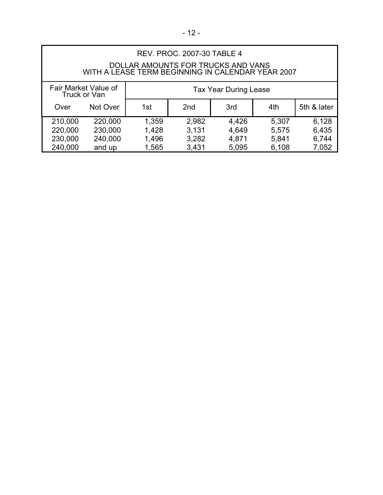| <b>REV. PROC. 2007-30 TABLE 4</b>                                                       |                    |                                                     |                |                |                |                |  |
|-----------------------------------------------------------------------------------------|--------------------|-----------------------------------------------------|----------------|----------------|----------------|----------------|--|
| DOLLAR AMOUNTS FOR TRUCKS AND VANS<br>WITH A LEASE TERM BEGINNING IN CALENDAR YEAR 2007 |                    |                                                     |                |                |                |                |  |
| Fair Market Value of<br>Truck or Van                                                    |                    | <b>Tax Year During Lease</b>                        |                |                |                |                |  |
| Over                                                                                    | Not Over           | 5th & later<br>2 <sub>nd</sub><br>4th<br>1st<br>3rd |                |                |                |                |  |
| 210,000<br>220,000                                                                      | 220,000<br>230,000 | 1,359<br>1,428                                      | 2,982<br>3.131 | 4,426<br>4,649 | 5,307<br>5,575 | 6,128<br>6,435 |  |

230,000 240,000 1,496 3,282 4,871 5,841 6,744 240,000 and up 1,565 3,431 5,095 6,108 7,052